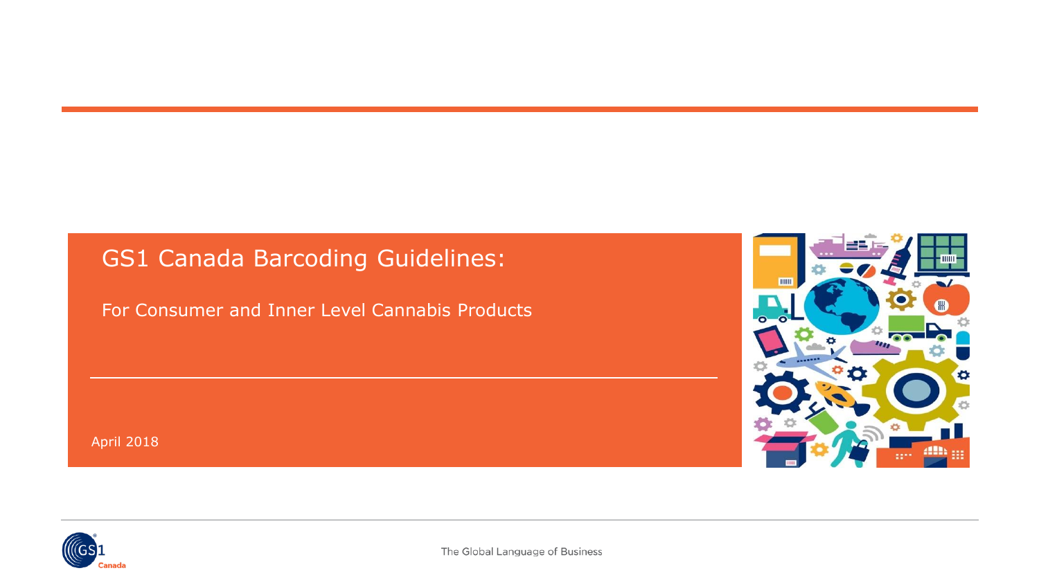## GS1 Canada Barcoding Guidelines:

For Consumer and Inner Level Cannabis Products

mm

April 2018

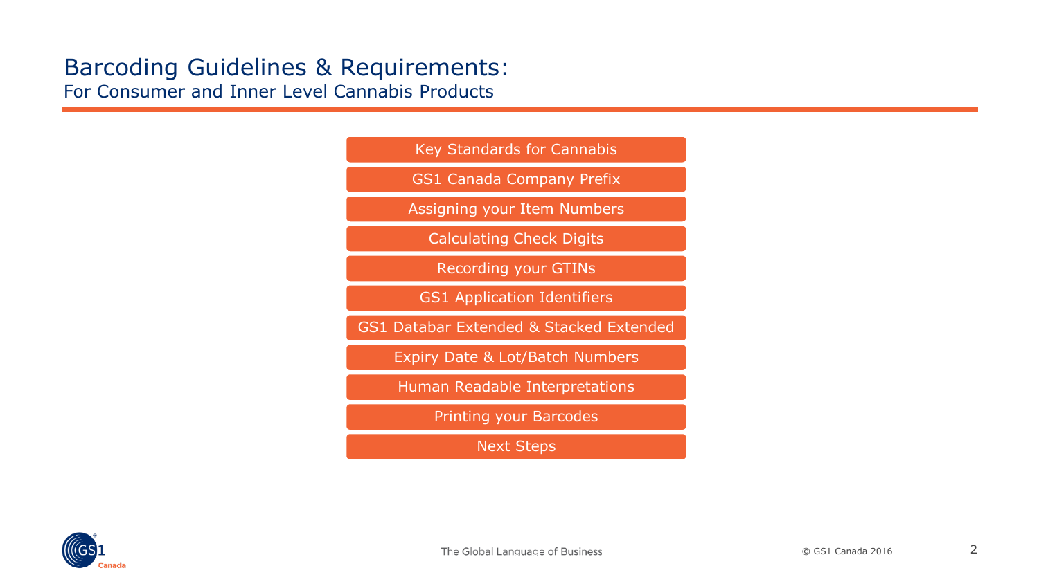[Key Standards for Cannabis](#page-3-0)

[GS1 Canada Company Prefix](#page-4-0)

[Assigning your Item Numbers](#page-7-0)

[Calculating Check Digits](#page-9-0)

[Recording your GTINs](#page-13-0)

[GS1 Application Identifiers](#page-14-0)

GS1 Databar [Extended & Stacked Extended](#page-15-0)

[Expiry Date & Lot/Batch Numbers](#page-16-0)

[Human Readable Interpretations](#page-17-0)

[Printing your Barcodes](#page-19-0)

Next Steps

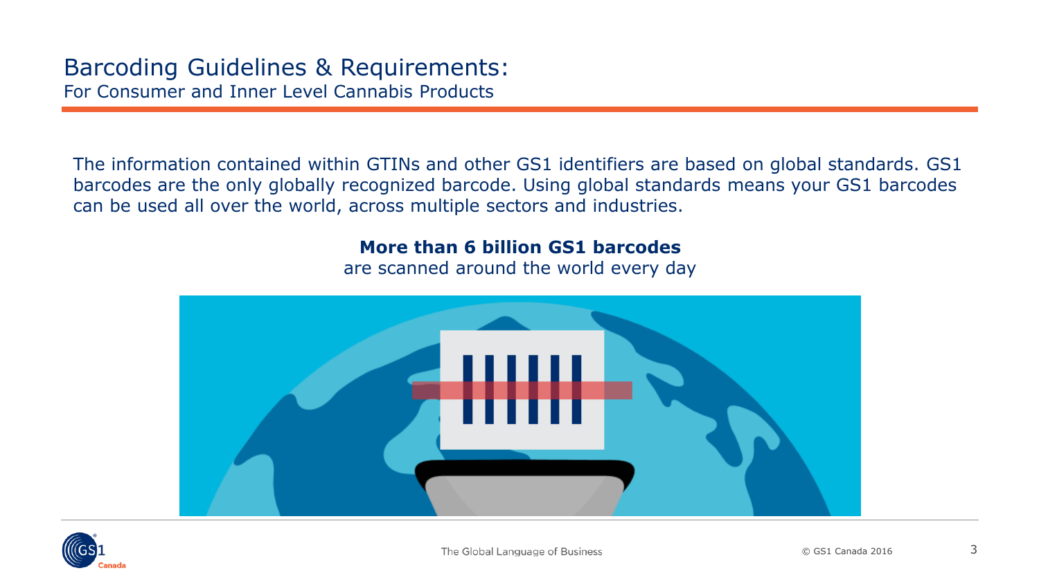The information contained within GTINs and other GS1 identifiers are based on global standards. GS1 barcodes are the only globally recognized barcode. Using global standards means your GS1 barcodes can be used all over the world, across multiple sectors and industries.

#### **More than 6 billion GS1 barcodes**

are scanned around the world every day



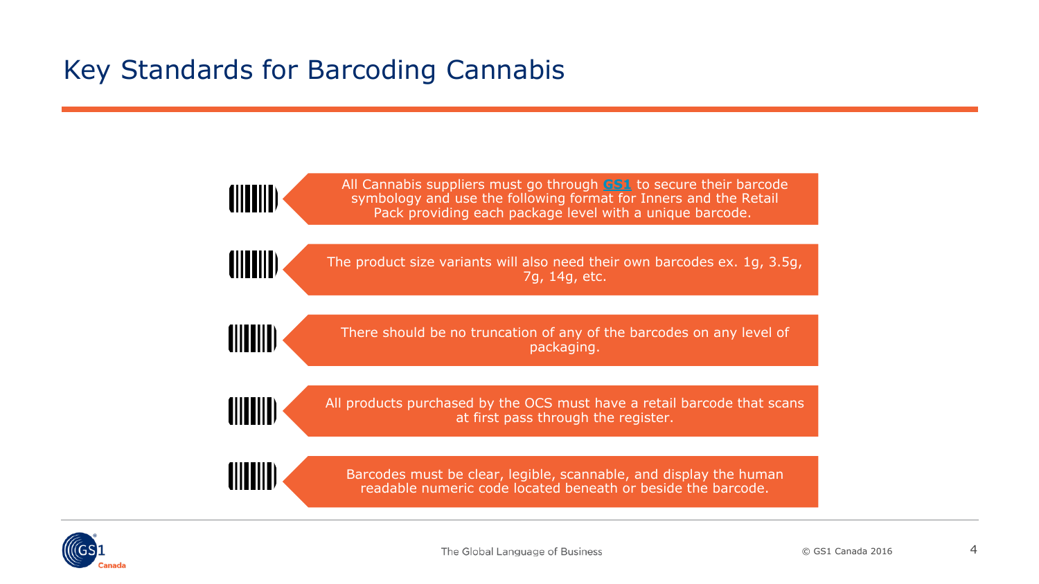# <span id="page-3-0"></span>Key Standards for Barcoding Cannabis

All Cannabis suppliers must go through **[GS1](https://www.gs1.org/)** to secure their barcode symbology and use the following format for Inners and the Retail Pack providing each package level with a unique barcode.

The product size variants will also need their own barcodes ex. 1g, 3.5g, 7g, 14g, etc.

(IIIIIIII

(IIIIIIII

(||||||||

There should be no truncation of any of the barcodes on any level of packaging.

(IIIIIII

All products purchased by the OCS must have a retail barcode that scans at first pass through the register.

**ANTINI** 

Barcodes must be clear, legible, scannable, and display the human readable numeric code located beneath or beside the barcode.

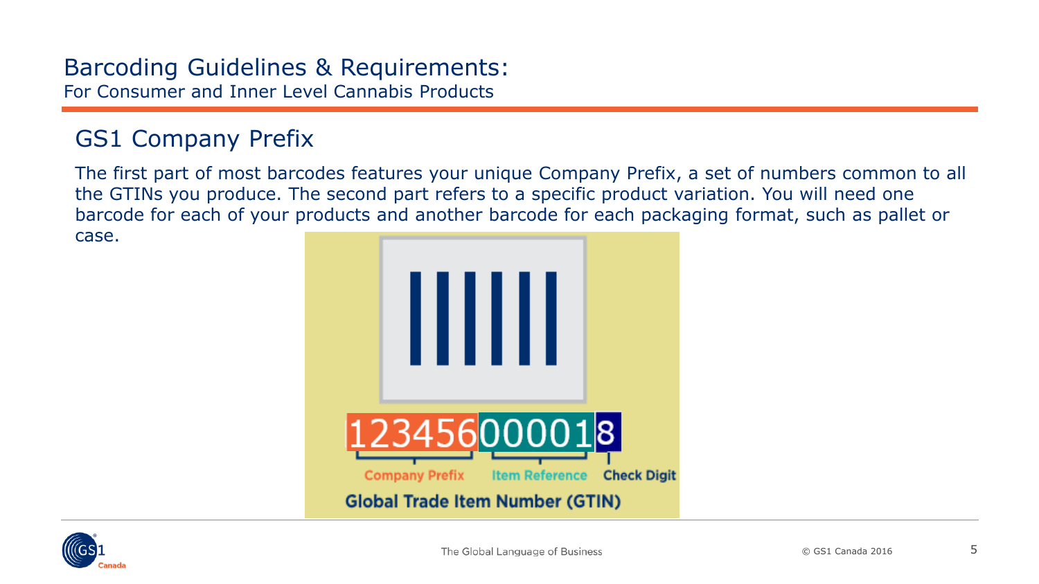## <span id="page-4-0"></span>GS1 Company Prefix

The first part of most barcodes features your unique Company Prefix, a set of numbers common to all the GTINs you produce. The second part refers to a specific product variation. You will need one barcode for each of your products and another barcode for each packaging format, such as pallet or

case.



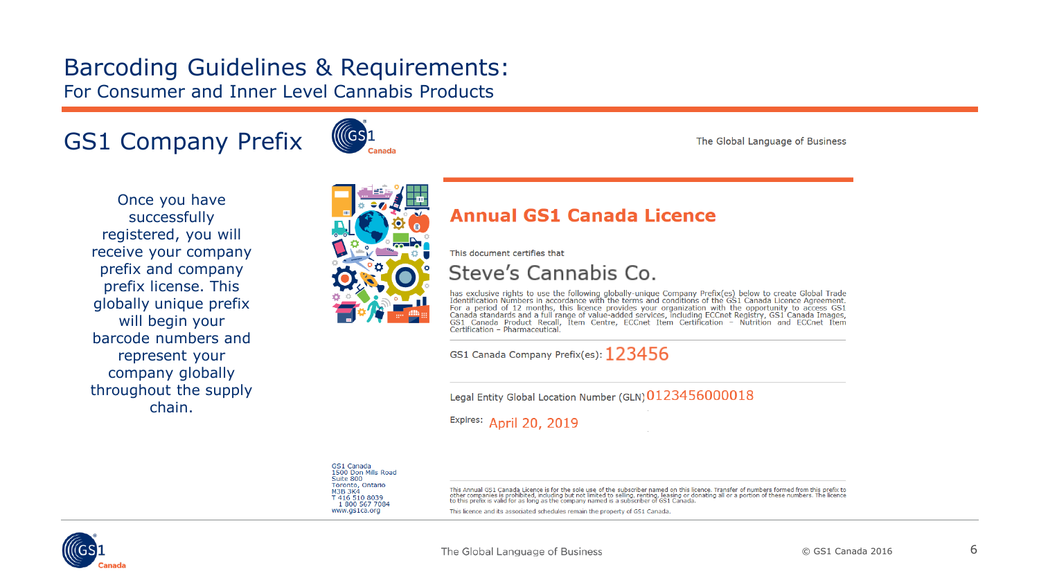# GS1 Company Prefix



The Global Language of Business

Once you have successfully registered, you will receive your company prefix and company prefix license. This globally unique prefix will begin your barcode numbers and represent your company globally throughout the supply chain.



#### **Annual GS1 Canada Licence**

This document certifies that

Steve's Cannabis Co.

has exclusive rights to use the following globally-unique Company Prefix(es) below to create Global Trade Identification Numbers in accordance with the terms and conditions of the GS1 Canada Licence Agreement. Demonstrator with the prediction of the term of the contract of the contract of the contract of the contract of the contract of the contract of the contract of Canada standards and a full range of value-added services (G3) Certification - Pharmaceutical

GS1 Canada Company Prefix(es):  $123456$ 

Legal Entity Global Location Number (GLN) 0123456000018

Expires: April 20, 2019

GS1 Canada 1500 Don Mills Road Suite 800 Toronto, Ontario **M3B 3K4** T 416 510 8039 1800 567 7084 www.gs1ca.org

This Annual GS1 Canada Licence is for the sole use of the subscriber named on this licence. Transfer of numbers formed from this prefix to other companies is prohibited, including but not limited to selling, renting, leasing or donating all or a portion of these numbers. The licence<br>to this prefix is valid for as long as the company named is a subscriber of G

This licence and its associated schedules remain the property of GS1 Canada

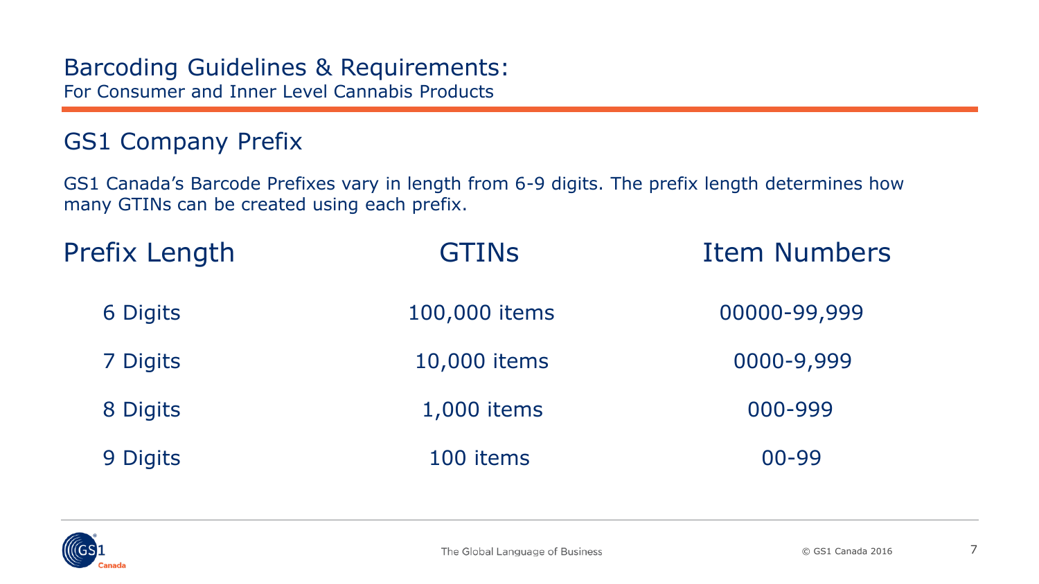## GS1 Company Prefix

GS1 Canada's Barcode Prefixes vary in length from 6-9 digits. The prefix length determines how many GTINs can be created using each prefix.

| <b>Prefix Length</b> | <b>GTINS</b>  | <b>Item Numbers</b> |  |  |
|----------------------|---------------|---------------------|--|--|
| 6 Digits             | 100,000 items | 00000-99,999        |  |  |
| 7 Digits             | 10,000 items  | 0000-9,999          |  |  |
| 8 Digits             | 1,000 items   | 000-999             |  |  |
| 9 Digits             | 100 items     | $00 - 99$           |  |  |

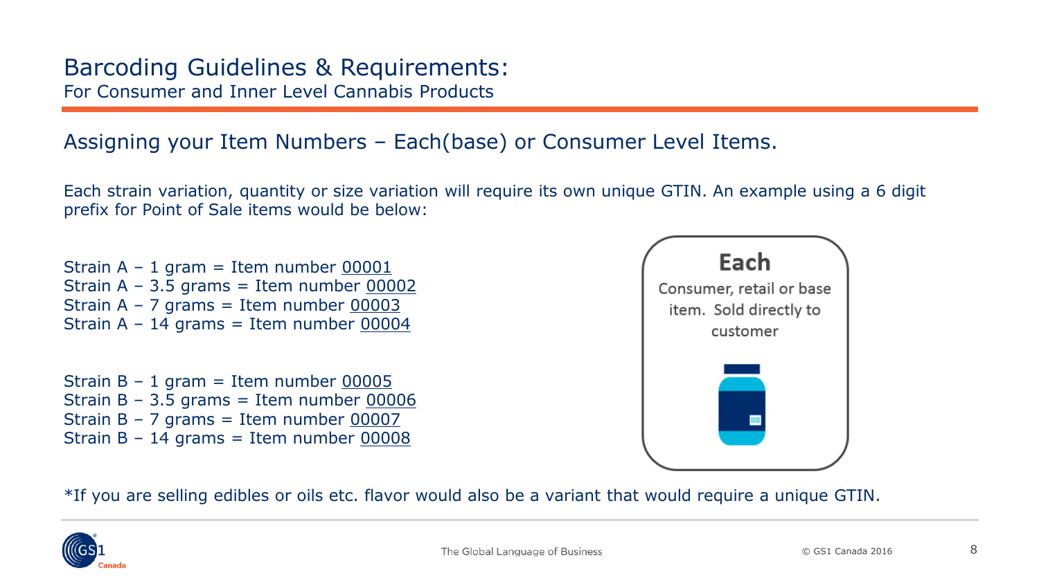### <span id="page-7-0"></span>Assigning your Item Numbers – Each(base) or Consumer Level Items.

Each strain variation, quantity or size variation will require its own unique GTIN. An example using a 6 digit prefix for Point of Sale items would be below:

Strain  $A - 1$  gram = Item number 00001 Strain  $A - 3.5$  grams = Item number 00002 Strain  $A - 7$  grams = Item number 00003 Strain  $A - 14$  grams = Item number 00004

Strain  $B - 1$  gram = Item number 00005 Strain B – 3.5 grams = Item number  $00006$ Strain  $B - 7$  grams = Item number 00007 Strain  $B - 14$  grams = Item number 00008



\*If you are selling edibles or oils etc. flavor would also be a variant that would require a unique GTIN.

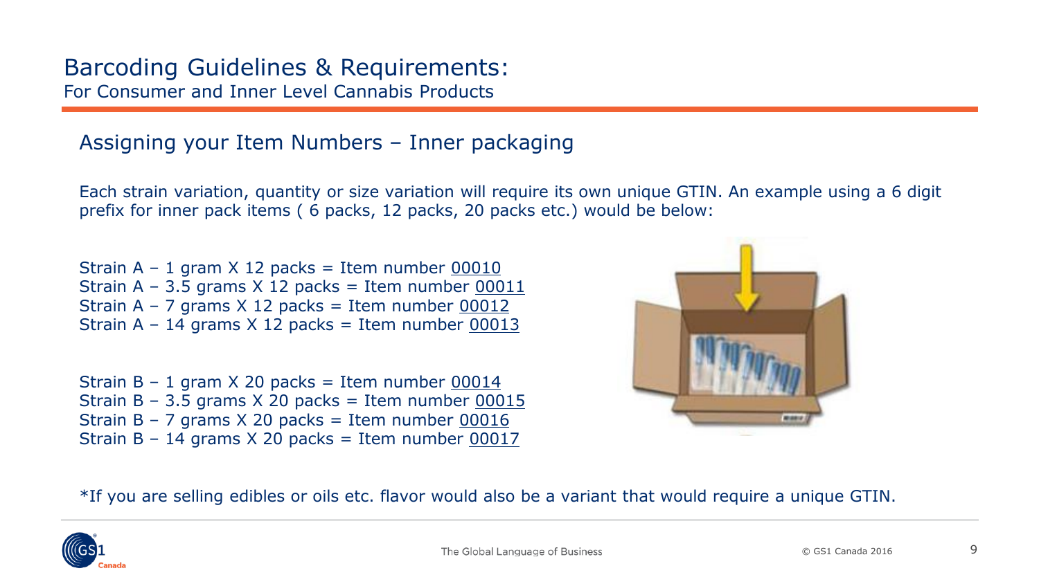### Assigning your Item Numbers – Inner packaging

Each strain variation, quantity or size variation will require its own unique GTIN. An example using a 6 digit prefix for inner pack items ( 6 packs, 12 packs, 20 packs etc.) would be below:

Strain  $A - 1$  gram  $X$  12 packs = Item number 00010 Strain A – 3.5 grams  $X$  12 packs = Item number  $00011$ Strain A – 7 grams  $X$  12 packs = Item number 00012 Strain A – 14 grams  $X$  12 packs = Item number 00013

Strain B – 1 gram X 20 packs = Item number  $0.0014$ Strain B – 3.5 grams  $X$  20 packs = Item number 00015 Strain B – 7 grams  $X$  20 packs = Item number 00016 Strain B – 14 grams  $X$  20 packs = Item number 00017



\*If you are selling edibles or oils etc. flavor would also be a variant that would require a unique GTIN.

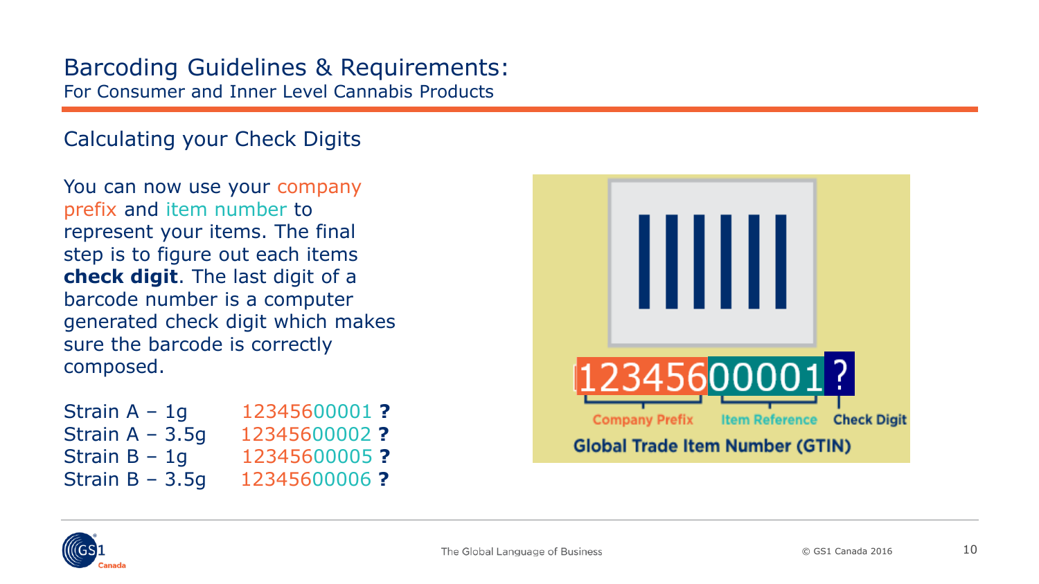<span id="page-9-0"></span>Calculating your Check Digits

You can now use your company prefix and item number to represent your items. The final step is to figure out each items **check digit**. The last digit of a barcode number is a computer generated check digit which makes sure the barcode is correctly composed.

Strain A - 1q – 1g 12345600001 **?** Strain A – 3.5g 12345600002 **?** Strain B – 1g 12345600005 **?** Strain B – 3.5g 12345600006 **?**



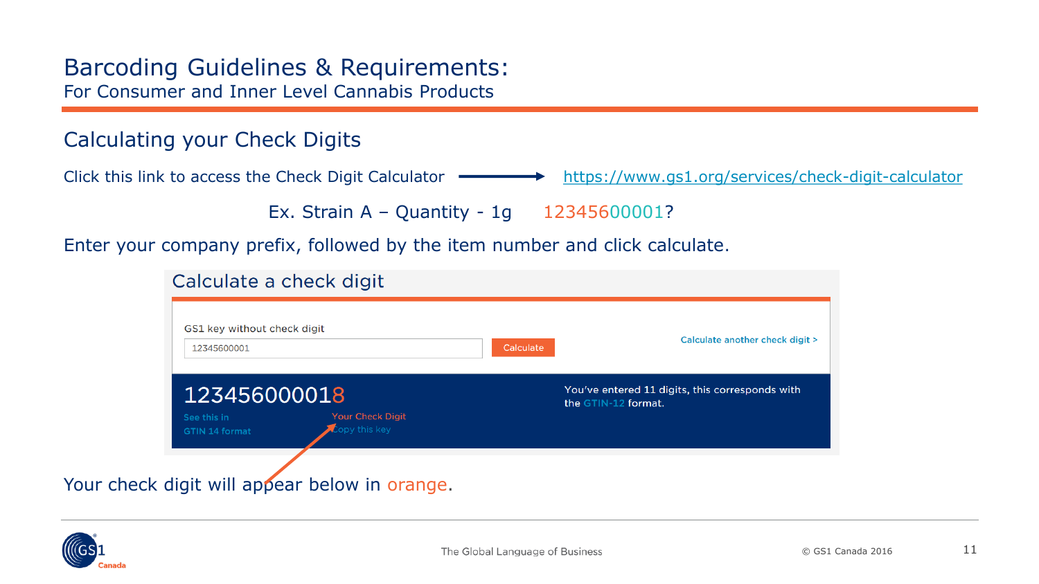### Calculating your Check Digits

Click this link to access the Check Digit Calculator **- <https://www.gs1.org/services/check-digit-calculator>** 

Ex. Strain A – Quantity - 1g 12345600001?

Enter your company prefix, followed by the item number and click calculate.

#### Calculate a check digit

| GS1 key without check digit<br>12345600001             | Calculate another check digit ><br>Calculate                           |
|--------------------------------------------------------|------------------------------------------------------------------------|
| 123456000018<br><b>Your Check Digit</b><br>See this in | You've entered 11 digits, this corresponds with<br>the GTIN-12 format. |
| Copy this key<br>GTIN 14 format                        |                                                                        |

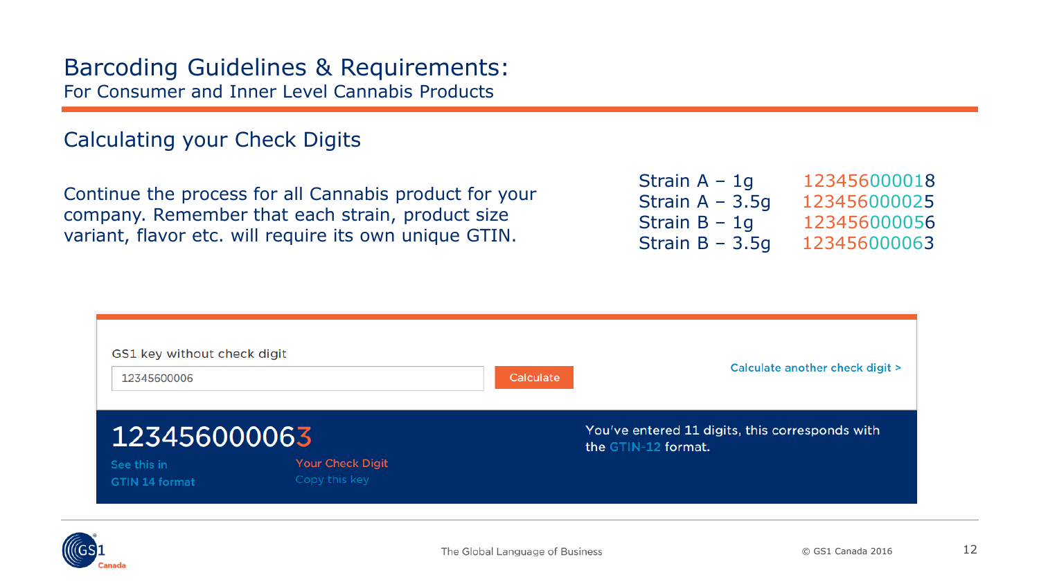### Calculating your Check Digits

Continue the process for all Cannabis product for your company. Remember that each strain, product size variant, flavor etc. will require its own unique GTIN.

| Strain $A - 1q$   | 123456000018 |
|-------------------|--------------|
| Strain $A - 3.5q$ | 123456000025 |
| Strain $B - 1q$   | 123456000056 |
| Strain $B - 3.5q$ | 123456000063 |



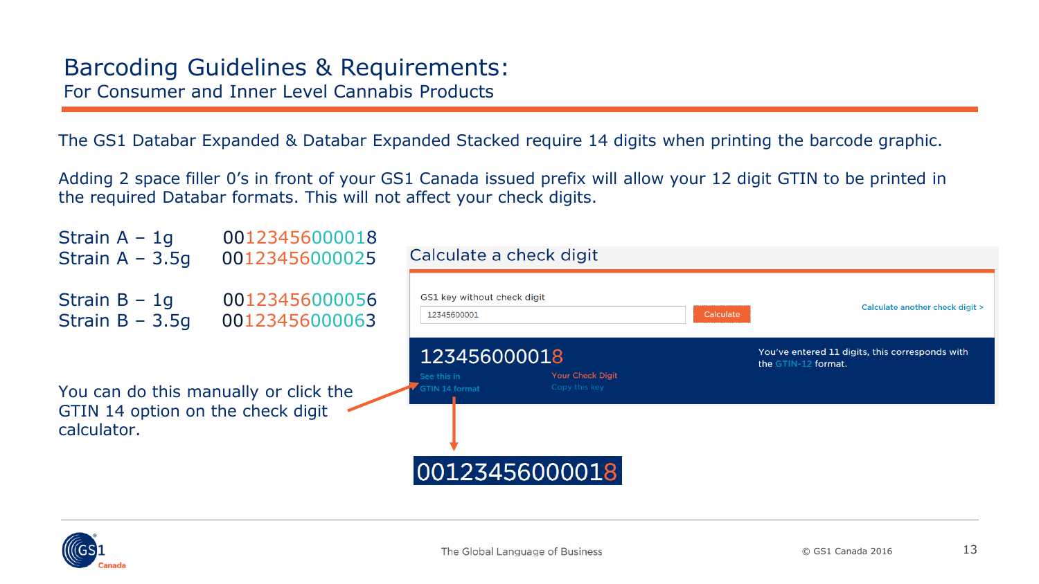The GS1 Databar Expanded & Databar Expanded Stacked require 14 digits when printing the barcode graphic.

Adding 2 space filler 0's in front of your GS1 Canada issued prefix will allow your 12 digit GTIN to be printed in the required Databar formats. This will not affect your check digits.



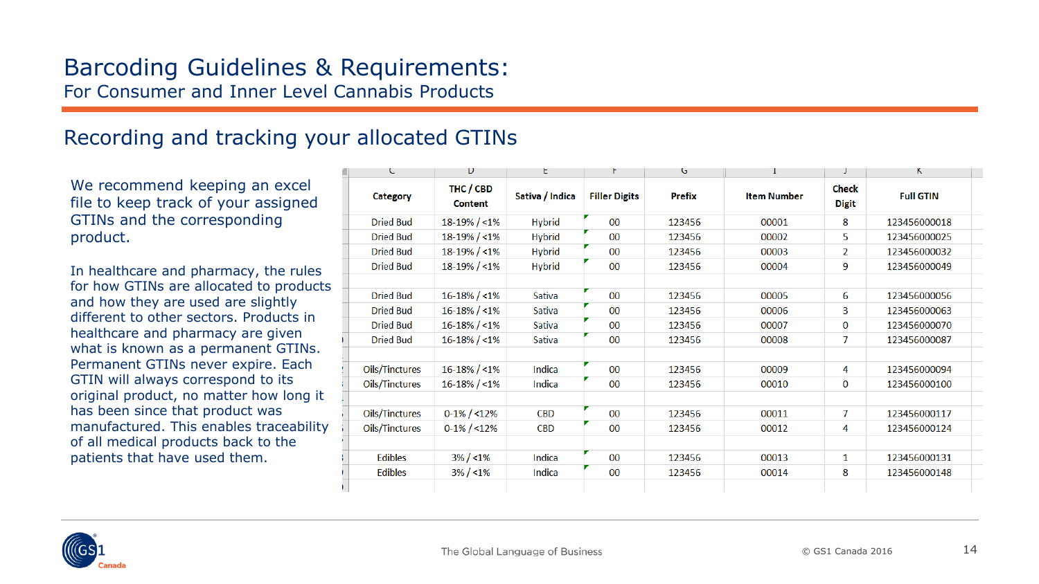### <span id="page-13-0"></span>Recording and tracking your allocated GTINs

We recommend keeping an excel file to keep track of your assigned GTINs and the corresponding product.

In healthcare and pharmacy, the rules for how GTINs are allocated to products and how they are used are slightly different to other sectors. Products in healthcare and pharmacy are given what is known as a permanent GTINs. Permanent GTINs never expire. Each GTIN will always correspond to its original product, no matter how long it has been since that product was manufactured. This enables traceability of all medical products back to the patients that have used them.

| C                | D                           | t               | ۲                    | G             |                    |                       | ĸ                |
|------------------|-----------------------------|-----------------|----------------------|---------------|--------------------|-----------------------|------------------|
| <b>Category</b>  | THC / CBD<br><b>Content</b> | Sativa / Indica | <b>Filler Digits</b> | <b>Prefix</b> | <b>Item Number</b> | Check<br><b>Digit</b> | <b>Full GTIN</b> |
| <b>Dried Bud</b> | $18-19\% / < 1\%$           | <b>Hybrid</b>   | 00                   | 123456        | 00001              | 8                     | 123456000018     |
| <b>Dried Bud</b> | $18-19\% / < 1\%$           | <b>Hybrid</b>   | 00                   | 123456        | 00002              | 5                     | 123456000025     |
| <b>Dried Bud</b> | $18-19\% / < 1\%$           | <b>Hybrid</b>   | 00                   | 123456        | 00003              | $\overline{2}$        | 123456000032     |
| <b>Dried Bud</b> | 18-19% / <1%                | <b>Hybrid</b>   | 00                   | 123456        | 00004              | 9                     | 123456000049     |
|                  |                             |                 |                      |               |                    |                       |                  |
| <b>Dried Bud</b> | $16 - 18\% / < 1\%$         | <b>Sativa</b>   | 00                   | 123456        | 00005              | 6                     | 123456000056     |
| <b>Dried Bud</b> | $16 - 18\% / < 1\%$         | <b>Sativa</b>   | 00                   | 123456        | 00006              | 3                     | 123456000063     |
| <b>Dried Bud</b> | $16 - 18\% / < 1\%$         | <b>Sativa</b>   | 00                   | 123456        | 00007              | $\bf{0}$              | 123456000070     |
| <b>Dried Bud</b> | $16 - 18\% / < 1\%$         | <b>Sativa</b>   | 00                   | 123456        | 00008              | $\overline{7}$        | 123456000087     |
|                  |                             |                 |                      |               |                    |                       |                  |
| Oils/Tinctures   | $16 - 18\% / 1\%$           | Indica          | 00                   | 123456        | 00009              | 4                     | 123456000094     |
| Oils/Tinctures   | $16 - 18\% / < 1\%$         | Indica          | 00                   | 123456        | 00010              | $\bf{0}$              | 123456000100     |
|                  |                             |                 |                      |               |                    |                       |                  |
| Oils/Tinctures   | $0-1\% / 12\%$              | <b>CBD</b>      | 00                   | 123456        | 00011              | $\overline{7}$        | 123456000117     |
| Oils/Tinctures   | $0-1\% / 12\%$              | <b>CBD</b>      | 00                   | 123456        | 00012              | 4                     | 123456000124     |
|                  |                             |                 |                      |               |                    |                       |                  |
| <b>Edibles</b>   | $3\% / 1\%$                 | Indica          | 00                   | 123456        | 00013              | $\mathbf{1}$          | 123456000131     |
| <b>Edibles</b>   | $3\% / 1\%$                 | Indica          | 00                   | 123456        | 00014              | 8                     | 123456000148     |
|                  |                             |                 |                      |               |                    |                       |                  |

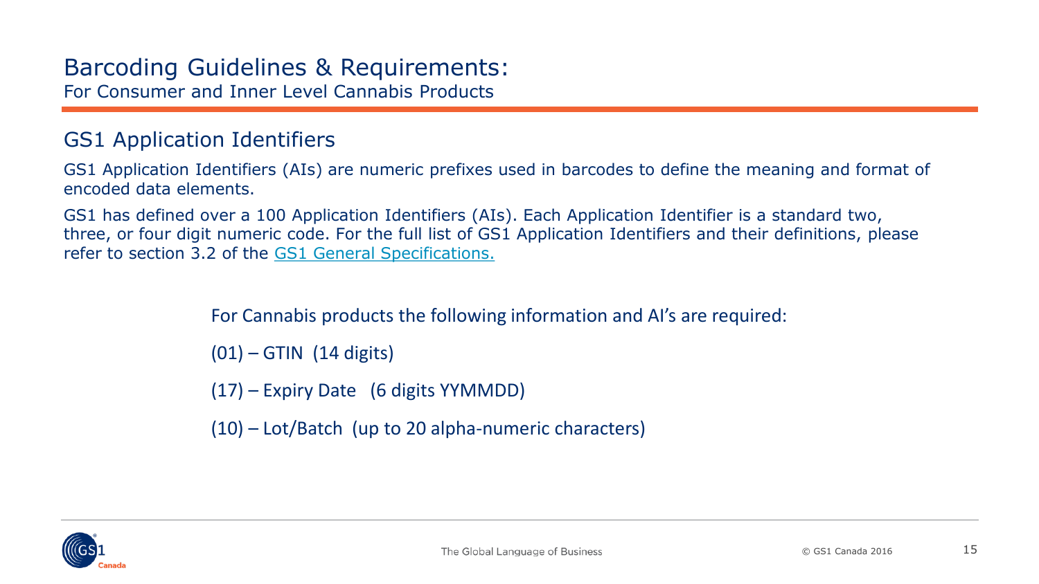### <span id="page-14-0"></span>GS1 Application Identifiers

GS1 Application Identifiers (AIs) are numeric prefixes used in barcodes to define the meaning and format of encoded data elements.

GS1 has defined over a 100 Application Identifiers (AIs). Each Application Identifier is a standard two, three, or four digit numeric code. For the full list of GS1 Application Identifiers and their definitions, please refer to section 3.2 of the [GS1 General Specifications.](https://www.gs1.org/standards/barcodes-epcrfid-id-keys/gs1-general-specifications)

For Cannabis products the following information and AI's are required:

 $(01)$  – GTIN  $(14 \text{ digits})$ 

(17) – Expiry Date (6 digits YYMMDD)

(10) – Lot/Batch (up to 20 alpha-numeric characters)

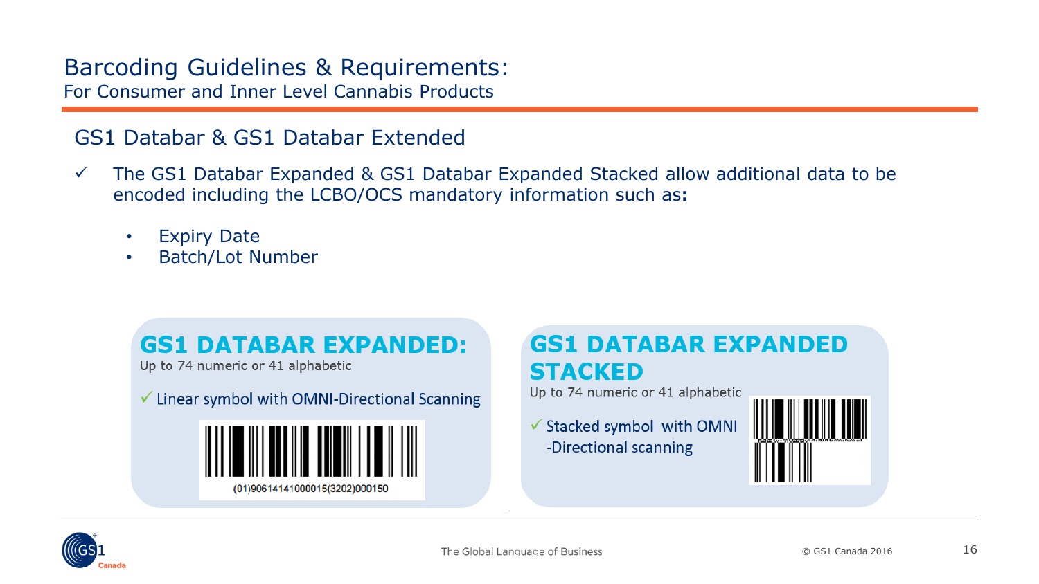### <span id="page-15-0"></span>GS1 Databar & GS1 Databar Extended

- $\checkmark$  The GS1 Databar Expanded & GS1 Databar Expanded Stacked allow additional data to be encoded including the LCBO/OCS mandatory information such as**:**
	- Expiry Date
	- Batch/Lot Number



## **GS1 DATABAR EXPANDED STACKED**

Up to 74 numeric or 41 alphabetic

✔ Stacked symbol with OMNI -Directional scanning



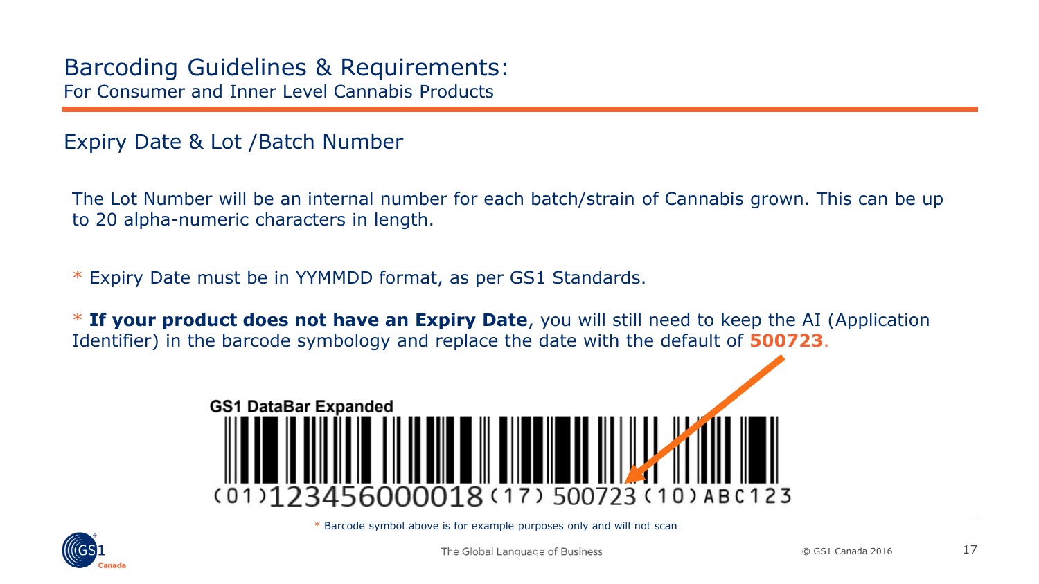<span id="page-16-0"></span>Expiry Date & Lot /Batch Number

The Lot Number will be an internal number for each batch/strain of Cannabis grown. This can be up to 20 alpha-numeric characters in length.

\* Expiry Date must be in YYMMDD format, as per GS1 Standards.

\* **If your product does not have an Expiry Date**, you will still need to keep the AI (Application Identifier) in the barcode symbology and replace the date with the default of **500723**.



\* Barcode symbol above is for example purposes only and will not scan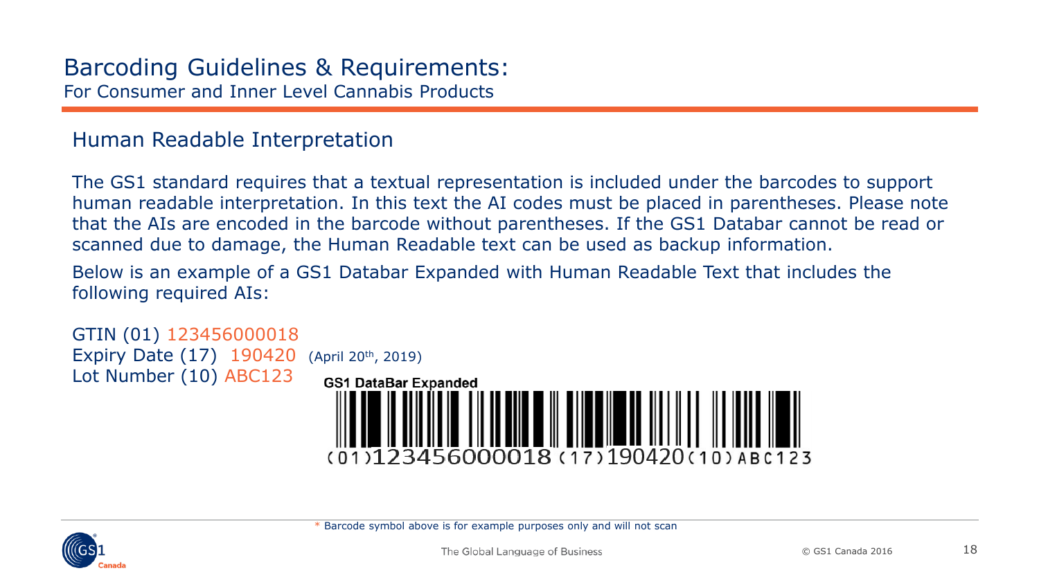### <span id="page-17-0"></span>Human Readable Interpretation

The GS1 standard requires that a textual representation is included under the barcodes to support human readable interpretation. In this text the AI codes must be placed in parentheses. Please note that the AIs are encoded in the barcode without parentheses. If the GS1 Databar cannot be read or scanned due to damage, the Human Readable text can be used as backup information.

Below is an example of a GS1 Databar Expanded with Human Readable Text that includes the following required AIs:



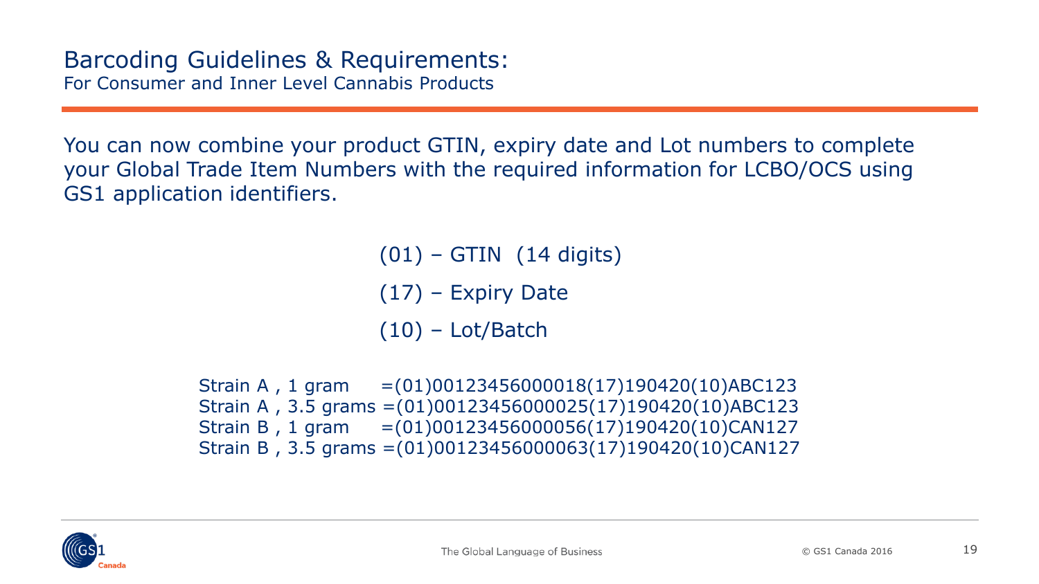You can now combine your product GTIN, expiry date and Lot numbers to complete your Global Trade Item Numbers with the required information for LCBO/OCS using GS1 application identifiers.

 $(01)$  – GTIN  $(14 \text{ digits})$ 

- (17) Expiry Date
- $(10)$  Lot/Batch

Strain A , 1 gram =(01)00123456000018(17)190420(10)ABC123 Strain A , 3.5 grams =(01)00123456000025(17)190420(10)ABC123 Strain B , 1 gram =(01)00123456000056(17)190420(10)CAN127 Strain B , 3.5 grams =(01)00123456000063(17)190420(10)CAN127

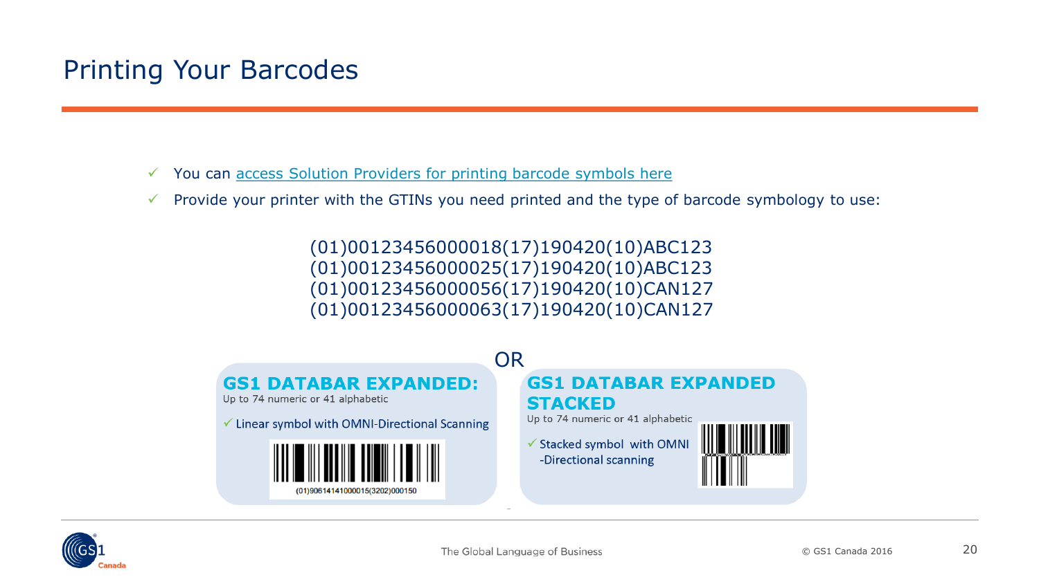# <span id="page-19-0"></span>Printing Your Barcodes

- $\checkmark$  You can [access Solution Providers for printing barcode symbols here](http://www.gs1ca.org/solutions/bcp.asp)
- $\checkmark$  Provide your printer with the GTINs you need printed and the type of barcode symbology to use:

(01)00123456000018(17)190420(10)ABC123 (01)00123456000025(17)190420(10)ABC123 (01)00123456000056(17)190420(10)CAN127 (01)00123456000063(17)190420(10)CAN127